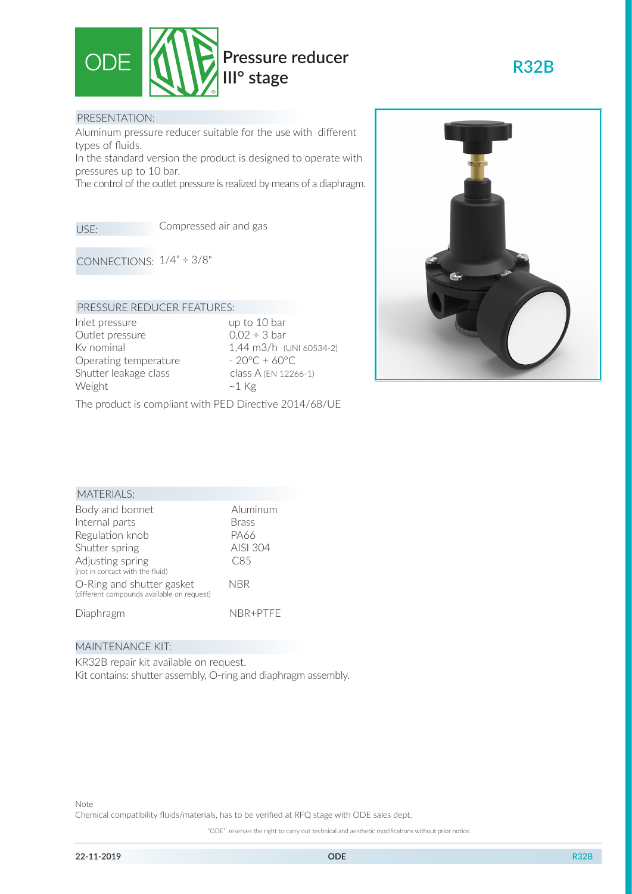

#### PRESENTATION:

Aluminum pressure reducer suitable for the use with different types of fluids.

In the standard version the product is designed to operate with pressures up to 10 bar.

The control of the outlet pressure is realized by means of a diaphragm.

USE:

Compressed air and gas

CONNECTIONS:  $1/4" \div 3/8"$ 

### PRESSURE REDUCER FEATURES:

Inlet pressure up to 10 bar Outlet pressure  $0,02 \div 3$  bar Operating temperature  $-20^{\circ}\text{C} + 60^{\circ}\text{C}$ Shutter leakage class class A (EN 12266-1) Weight  $~\sim$ 1 Kg

Kv nominal 1,44 m3/h (UNI 60534-2)

The product is compliant with PED Directive 2014/68/UE



**R32B**

# MATERIALS:

| Body and bonnet                                                         | Aluminum     |
|-------------------------------------------------------------------------|--------------|
| Internal parts                                                          | <b>Brass</b> |
| Regulation knob                                                         | PA66         |
| Shutter spring                                                          | AISI 304     |
| Adjusting spring<br>(not in contact with the fluid)                     | C85          |
| O-Ring and shutter gasket<br>(different compounds available on request) | NBR          |
| Diaphragm                                                               | NBR+PTFF     |

#### MAINTENANCE KIT:

KR32B repair kit available on request. Kit contains: shutter assembly, O-ring and diaphragm assembly.

"ODE" reserves the right to carry out technical and aesthetic modifications without prior notice.